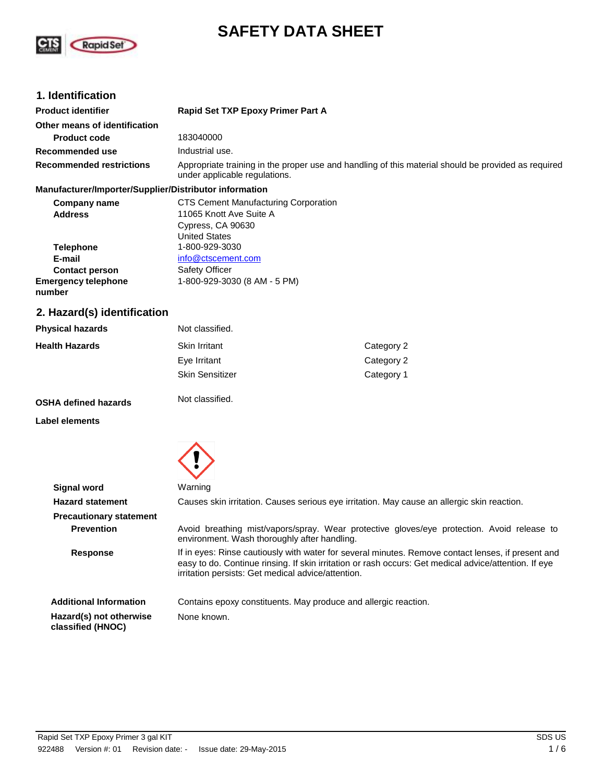

# **SAFETY DATA SHEET**

# **1. Identification**

| <b>Product identifier</b>       | Rapid Set TXP Epoxy Primer Part A                                                                                                    |
|---------------------------------|--------------------------------------------------------------------------------------------------------------------------------------|
| Other means of identification   |                                                                                                                                      |
| <b>Product code</b>             | 183040000                                                                                                                            |
| Recommended use                 | Industrial use.                                                                                                                      |
| <b>Recommended restrictions</b> | Appropriate training in the proper use and handling of this material should be provided as required<br>under applicable regulations. |

#### **Manufacturer/Importer/Supplier/Distributor information**

| Company name                         | <b>CTS Cement Manufacturing Corporation</b> |
|--------------------------------------|---------------------------------------------|
| <b>Address</b>                       | 11065 Knott Ave Suite A                     |
|                                      | Cypress, CA 90630                           |
|                                      | <b>United States</b>                        |
| <b>Telephone</b>                     | 1-800-929-3030                              |
| E-mail                               | info@ctscement.com                          |
| <b>Contact person</b>                | <b>Safety Officer</b>                       |
| <b>Emergency telephone</b><br>number | 1-800-929-3030 (8 AM - 5 PM)                |

# **2. Hazard(s) identification**

| <b>Physical hazards</b> | Not classified.        |            |
|-------------------------|------------------------|------------|
| <b>Health Hazards</b>   | <b>Skin Irritant</b>   | Category 2 |
|                         | Eye Irritant           | Category 2 |
|                         | <b>Skin Sensitizer</b> | Category 1 |
|                         |                        |            |

**OSHA defined hazards**

**Label elements**



Not classified.

| Signal word                                  | Warning                                                                                                                                                                                                                                                           |
|----------------------------------------------|-------------------------------------------------------------------------------------------------------------------------------------------------------------------------------------------------------------------------------------------------------------------|
| <b>Hazard statement</b>                      | Causes skin irritation. Causes serious eye irritation. May cause an allergic skin reaction.                                                                                                                                                                       |
| <b>Precautionary statement</b>               |                                                                                                                                                                                                                                                                   |
| <b>Prevention</b>                            | Avoid breathing mist/vapors/spray. Wear protective gloves/eye protection. Avoid release to<br>environment. Wash thoroughly after handling.                                                                                                                        |
| <b>Response</b>                              | If in eyes: Rinse cautiously with water for several minutes. Remove contact lenses, if present and<br>easy to do. Continue rinsing. If skin irritation or rash occurs: Get medical advice/attention. If eye<br>irritation persists: Get medical advice/attention. |
| <b>Additional Information</b>                | Contains epoxy constituents. May produce and allergic reaction.                                                                                                                                                                                                   |
| Hazard(s) not otherwise<br>classified (HNOC) | None known.                                                                                                                                                                                                                                                       |
|                                              |                                                                                                                                                                                                                                                                   |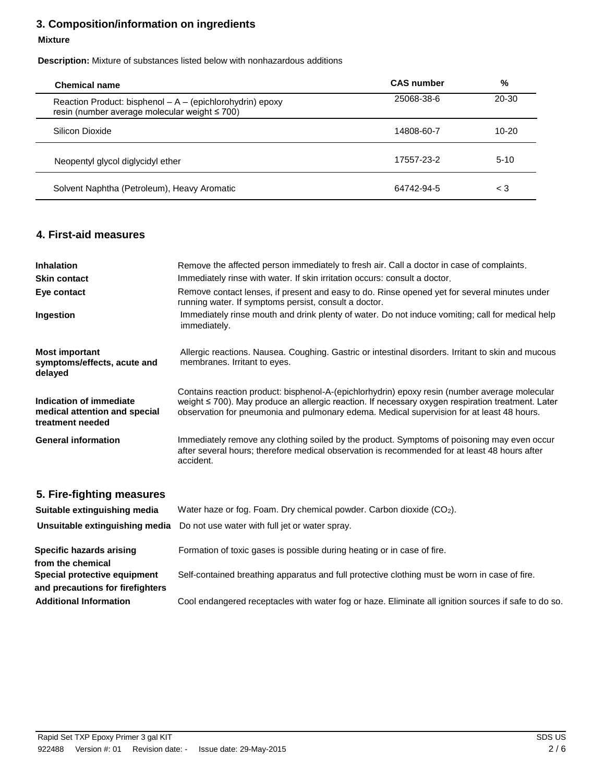# **3. Composition/information on ingredients**

#### **Mixture**

 **Description:** Mixture of substances listed below with nonhazardous additions

| Chemical name                                                                                              | <b>CAS</b> number | %         |
|------------------------------------------------------------------------------------------------------------|-------------------|-----------|
| Reaction Product: bisphenol - A - (epichlorohydrin) epoxy<br>resin (number average molecular weight ≤ 700) | 25068-38-6        | 20-30     |
| Silicon Dioxide                                                                                            | 14808-60-7        | $10 - 20$ |
| Neopentyl glycol diglycidyl ether                                                                          | 17557-23-2        | $5-10$    |
| Solvent Naphtha (Petroleum), Heavy Aromatic                                                                | 64742-94-5        | $\leq 3$  |

# **4. First-aid measures**

| <b>Inhalation</b><br><b>Skin contact</b>                                     | Remove the affected person immediately to fresh air. Call a doctor in case of complaints.<br>Immediately rinse with water. If skin irritation occurs: consult a doctor.                                                                                                                         |
|------------------------------------------------------------------------------|-------------------------------------------------------------------------------------------------------------------------------------------------------------------------------------------------------------------------------------------------------------------------------------------------|
| Eye contact                                                                  | Remove contact lenses, if present and easy to do. Rinse opened yet for several minutes under<br>running water. If symptoms persist, consult a doctor.                                                                                                                                           |
| Ingestion                                                                    | Immediately rinse mouth and drink plenty of water. Do not induce vomiting; call for medical help<br>immediately.                                                                                                                                                                                |
| <b>Most important</b><br>symptoms/effects, acute and<br>delayed              | Allergic reactions. Nausea. Coughing. Gastric or intestinal disorders. Irritant to skin and mucous<br>membranes. Irritant to eyes.                                                                                                                                                              |
| Indication of immediate<br>medical attention and special<br>treatment needed | Contains reaction product: bisphenol-A-(epichlorhydrin) epoxy resin (number average molecular<br>weight ≤ 700). May produce an allergic reaction. If necessary oxygen respiration treatment. Later<br>observation for pneumonia and pulmonary edema. Medical supervision for at least 48 hours. |
| <b>General information</b>                                                   | Immediately remove any clothing soiled by the product. Symptoms of poisoning may even occur<br>after several hours; therefore medical observation is recommended for at least 48 hours after<br>accident.                                                                                       |

# **5. Fire-fighting measures**

| Suitable extinguishing media                                                                                                                       | Water haze or fog. Foam. Dry chemical powder. Carbon dioxide $(CO2)$ .                                                                                                                                                                                                           |
|----------------------------------------------------------------------------------------------------------------------------------------------------|----------------------------------------------------------------------------------------------------------------------------------------------------------------------------------------------------------------------------------------------------------------------------------|
| Unsuitable extinguishing media                                                                                                                     | Do not use water with full jet or water spray.                                                                                                                                                                                                                                   |
| Specific hazards arising<br>from the chemical<br>Special protective equipment<br>and precautions for firefighters<br><b>Additional Information</b> | Formation of toxic gases is possible during heating or in case of fire.<br>Self-contained breathing apparatus and full protective clothing must be worn in case of fire.<br>Cool endangered receptacles with water fog or haze. Eliminate all ignition sources if safe to do so. |
|                                                                                                                                                    |                                                                                                                                                                                                                                                                                  |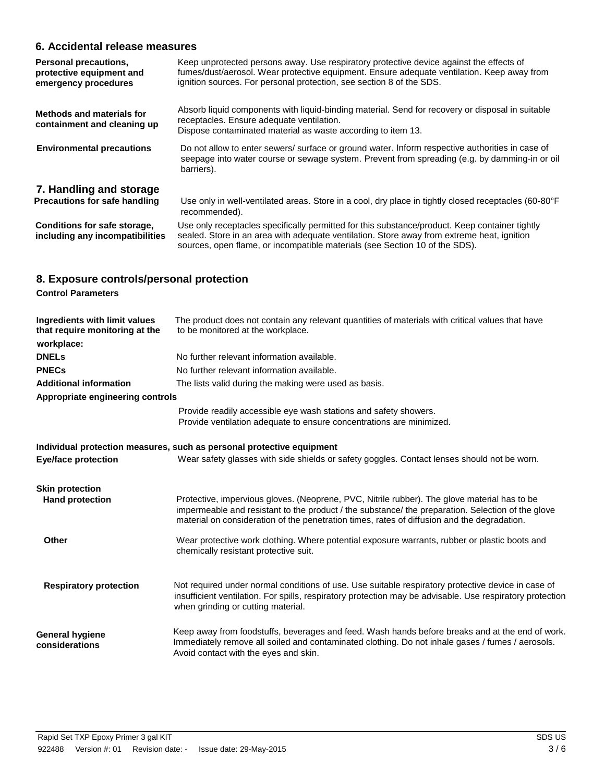# **6. Accidental release measures**

| Personal precautions,<br>protective equipment and<br>emergency procedures | Keep unprotected persons away. Use respiratory protective device against the effects of<br>fumes/dust/aerosol. Wear protective equipment. Ensure adequate ventilation. Keep away from<br>ignition sources. For personal protection, see section 8 of the SDS.               |
|---------------------------------------------------------------------------|-----------------------------------------------------------------------------------------------------------------------------------------------------------------------------------------------------------------------------------------------------------------------------|
| <b>Methods and materials for</b><br>containment and cleaning up           | Absorb liquid components with liquid-binding material. Send for recovery or disposal in suitable<br>receptacles. Ensure adequate ventilation.<br>Dispose contaminated material as waste according to item 13.                                                               |
| <b>Environmental precautions</b>                                          | Do not allow to enter sewers/ surface or ground water. Inform respective authorities in case of<br>seepage into water course or sewage system. Prevent from spreading (e.g. by damming-in or oil<br>barriers).                                                              |
| 7. Handling and storage                                                   |                                                                                                                                                                                                                                                                             |
| Precautions for safe handling                                             | Use only in well-ventilated areas. Store in a cool, dry place in tightly closed receptacles (60-80°F<br>recommended).                                                                                                                                                       |
| Conditions for safe storage,<br>including any incompatibilities           | Use only receptacles specifically permitted for this substance/product. Keep container tightly<br>sealed. Store in an area with adequate ventilation. Store away from extreme heat, ignition<br>sources, open flame, or incompatible materials (see Section 10 of the SDS). |

# **8. Exposure controls/personal protection**

|  | <b>Control Parameters</b> |
|--|---------------------------|
|--|---------------------------|

| Ingredients with limit values<br>that require monitoring at the<br>workplace: | The product does not contain any relevant quantities of materials with critical values that have<br>to be monitored at the workplace.                                                                                                                                                            |
|-------------------------------------------------------------------------------|--------------------------------------------------------------------------------------------------------------------------------------------------------------------------------------------------------------------------------------------------------------------------------------------------|
| <b>DNELs</b>                                                                  | No further relevant information available.                                                                                                                                                                                                                                                       |
| <b>PNECs</b>                                                                  | No further relevant information available.                                                                                                                                                                                                                                                       |
| <b>Additional information</b>                                                 | The lists valid during the making were used as basis.                                                                                                                                                                                                                                            |
| Appropriate engineering controls                                              |                                                                                                                                                                                                                                                                                                  |
|                                                                               | Provide readily accessible eye wash stations and safety showers.<br>Provide ventilation adequate to ensure concentrations are minimized.                                                                                                                                                         |
|                                                                               | Individual protection measures, such as personal protective equipment                                                                                                                                                                                                                            |
| <b>Eye/face protection</b>                                                    | Wear safety glasses with side shields or safety goggles. Contact lenses should not be worn.                                                                                                                                                                                                      |
|                                                                               |                                                                                                                                                                                                                                                                                                  |
| <b>Skin protection</b><br><b>Hand protection</b>                              | Protective, impervious gloves. (Neoprene, PVC, Nitrile rubber). The glove material has to be<br>impermeable and resistant to the product / the substance/ the preparation. Selection of the glove<br>material on consideration of the penetration times, rates of diffusion and the degradation. |
|                                                                               |                                                                                                                                                                                                                                                                                                  |
| Other                                                                         | Wear protective work clothing. Where potential exposure warrants, rubber or plastic boots and<br>chemically resistant protective suit.                                                                                                                                                           |
|                                                                               |                                                                                                                                                                                                                                                                                                  |
| <b>Respiratory protection</b>                                                 | Not required under normal conditions of use. Use suitable respiratory protective device in case of<br>insufficient ventilation. For spills, respiratory protection may be advisable. Use respiratory protection<br>when grinding or cutting material.                                            |
| <b>General hygiene</b><br>considerations                                      | Keep away from foodstuffs, beverages and feed. Wash hands before breaks and at the end of work.<br>Immediately remove all soiled and contaminated clothing. Do not inhale gases / fumes / aerosols.<br>Avoid contact with the eyes and skin.                                                     |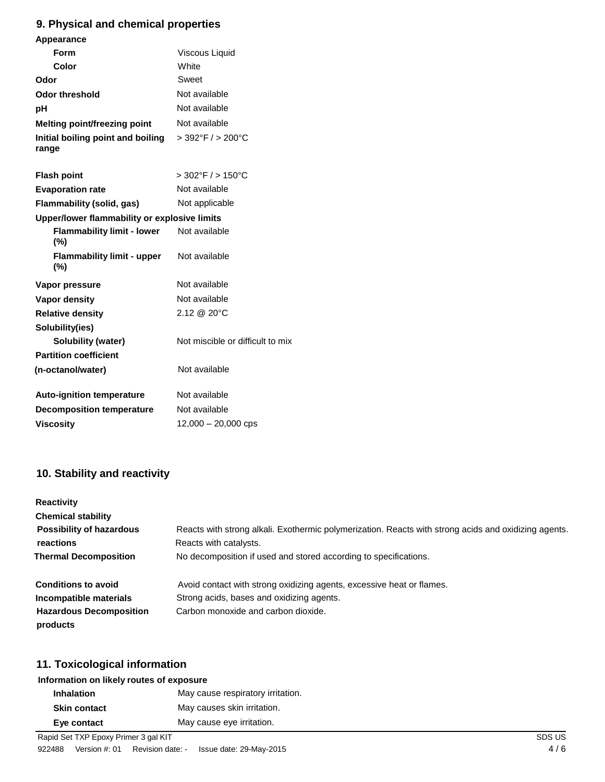# **9. Physical and chemical properties**

| <b>Appearance</b>                            |                                     |
|----------------------------------------------|-------------------------------------|
| <b>Form</b>                                  | Viscous Liquid                      |
| Color                                        | White                               |
| Odor                                         | Sweet                               |
| <b>Odor threshold</b>                        | Not available                       |
| рH                                           | Not available                       |
| Melting point/freezing point                 | Not available                       |
| Initial boiling point and boiling<br>range   | $>392^{\circ}$ F / $>200^{\circ}$ C |
| <b>Flash point</b>                           | $>$ 302°F $/$ > 150°C               |
| <b>Evaporation rate</b>                      | Not available                       |
| Flammability (solid, gas)                    | Not applicable                      |
| Upper/lower flammability or explosive limits |                                     |
| <b>Flammability limit - lower</b><br>(%)     | Not available                       |
| <b>Flammability limit - upper</b><br>$(\%)$  | Not available                       |
| Vapor pressure                               | Not available                       |
| <b>Vapor density</b>                         | Not available                       |
| <b>Relative density</b>                      | 2.12 @ 20°C                         |
| Solubility(ies)                              |                                     |
| <b>Solubility (water)</b>                    | Not miscible or difficult to mix    |
| <b>Partition coefficient</b>                 |                                     |
| (n-octanol/water)                            | Not available                       |
| <b>Auto-ignition temperature</b>             | Not available                       |
| <b>Decomposition temperature</b>             | Not available                       |
| <b>Viscositv</b>                             | $12,000 - 20,000$ cps               |

# **10. Stability and reactivity**

| <b>Reactivity</b>               |                                                                                                      |
|---------------------------------|------------------------------------------------------------------------------------------------------|
| <b>Chemical stability</b>       |                                                                                                      |
| <b>Possibility of hazardous</b> | Reacts with strong alkali. Exothermic polymerization. Reacts with strong acids and oxidizing agents. |
| reactions                       | Reacts with catalysts.                                                                               |
| <b>Thermal Decomposition</b>    | No decomposition if used and stored according to specifications.                                     |
| <b>Conditions to avoid</b>      | Avoid contact with strong oxidizing agents, excessive heat or flames.                                |
| Incompatible materials          | Strong acids, bases and oxidizing agents.                                                            |
| <b>Hazardous Decomposition</b>  | Carbon monoxide and carbon dioxide.                                                                  |
| products                        |                                                                                                      |

# **11. Toxicological information**

| Information on likely routes of exposure |                                   |
|------------------------------------------|-----------------------------------|
| <b>Inhalation</b>                        | May cause respiratory irritation. |
| <b>Skin contact</b>                      | May causes skin irritation.       |
| Eye contact                              | May cause eye irritation.         |
| Rapid Set TXP Epoxy Primer 3 gal KIT     |                                   |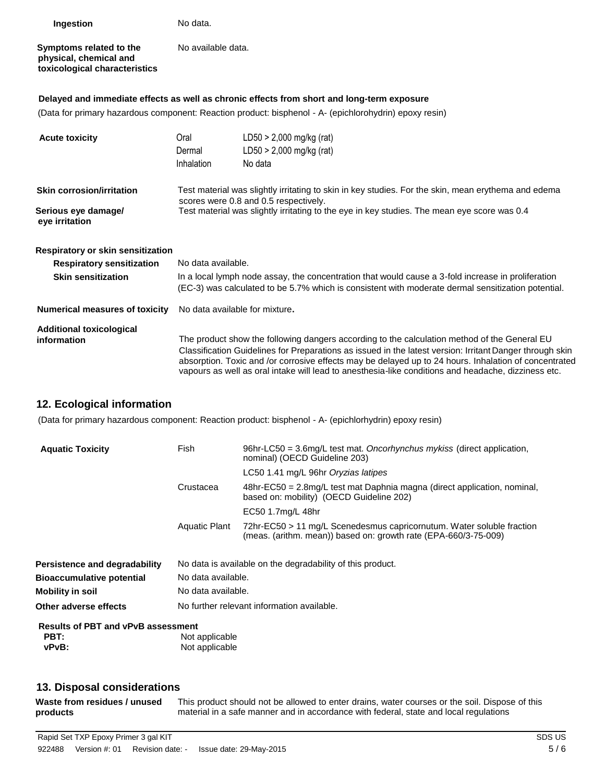| Ingestion                                                                          | No data.                                                                                                                                                                                                                                    |                                                                                                                                                                                                                                                                                                                                                                                                                          |  |  |
|------------------------------------------------------------------------------------|---------------------------------------------------------------------------------------------------------------------------------------------------------------------------------------------------------------------------------------------|--------------------------------------------------------------------------------------------------------------------------------------------------------------------------------------------------------------------------------------------------------------------------------------------------------------------------------------------------------------------------------------------------------------------------|--|--|
| Symptoms related to the<br>physical, chemical and<br>toxicological characteristics | No available data.                                                                                                                                                                                                                          |                                                                                                                                                                                                                                                                                                                                                                                                                          |  |  |
|                                                                                    |                                                                                                                                                                                                                                             | Delayed and immediate effects as well as chronic effects from short and long-term exposure                                                                                                                                                                                                                                                                                                                               |  |  |
|                                                                                    |                                                                                                                                                                                                                                             | (Data for primary hazardous component: Reaction product: bisphenol - A- (epichlorohydrin) epoxy resin)                                                                                                                                                                                                                                                                                                                   |  |  |
| <b>Acute toxicity</b>                                                              | Oral<br>Dermal<br>Inhalation                                                                                                                                                                                                                | $LD50 > 2,000$ mg/kg (rat)<br>$LD50 > 2,000$ mg/kg (rat)<br>No data                                                                                                                                                                                                                                                                                                                                                      |  |  |
| <b>Skin corrosion/irritation</b><br>Serious eye damage/<br>eye irritation          | Test material was slightly irritating to skin in key studies. For the skin, mean erythema and edema<br>scores were 0.8 and 0.5 respectively.<br>Test material was slightly irritating to the eye in key studies. The mean eye score was 0.4 |                                                                                                                                                                                                                                                                                                                                                                                                                          |  |  |
| Respiratory or skin sensitization<br><b>Respiratory sensitization</b>              | No data available.                                                                                                                                                                                                                          |                                                                                                                                                                                                                                                                                                                                                                                                                          |  |  |
| <b>Skin sensitization</b>                                                          | In a local lymph node assay, the concentration that would cause a 3-fold increase in proliferation<br>(EC-3) was calculated to be 5.7% which is consistent with moderate dermal sensitization potential.                                    |                                                                                                                                                                                                                                                                                                                                                                                                                          |  |  |
| <b>Numerical measures of toxicity</b>                                              | No data available for mixture.                                                                                                                                                                                                              |                                                                                                                                                                                                                                                                                                                                                                                                                          |  |  |
| <b>Additional toxicological</b><br>information                                     |                                                                                                                                                                                                                                             | The product show the following dangers according to the calculation method of the General EU<br>Classification Guidelines for Preparations as issued in the latest version: Irritant Danger through skin<br>absorption. Toxic and /or corrosive effects may be delayed up to 24 hours. Inhalation of concentrated<br>vapours as well as oral intake will lead to anesthesia-like conditions and headache, dizziness etc. |  |  |

# **12. Ecological information**

(Data for primary hazardous component: Reaction product: bisphenol - A- (epichlorhydrin) epoxy resin)

| <b>Aquatic Toxicity</b>                                    | Fish                                       | 96hr-LC50 = $3.6$ mg/L test mat. Oncorhynchus mykiss (direct application,<br>nominal) (OECD Guideline 203)                               |  |
|------------------------------------------------------------|--------------------------------------------|------------------------------------------------------------------------------------------------------------------------------------------|--|
|                                                            |                                            | LC50 1.41 mg/L 96hr Oryzias latipes                                                                                                      |  |
|                                                            | Crustacea                                  | $48$ hr-EC50 = 2.8mg/L test mat Daphnia magna (direct application, nominal,<br>based on: mobility) (OECD Guideline 202)                  |  |
|                                                            |                                            | EC50 1.7mg/L 48hr                                                                                                                        |  |
|                                                            | Aquatic Plant                              | 72hr-EC50 > 11 mg/L Scenedesmus capricornutum. Water soluble fraction<br>(meas. (arithm. mean)) based on: growth rate (EPA-660/3-75-009) |  |
| Persistence and degradability                              |                                            | No data is available on the degradability of this product.                                                                               |  |
| <b>Bioaccumulative potential</b>                           | No data available.                         |                                                                                                                                          |  |
| Mobility in soil                                           | No data available.                         |                                                                                                                                          |  |
| Other adverse effects                                      | No further relevant information available. |                                                                                                                                          |  |
| <b>Results of PBT and vPvB assessment</b><br>PBT:<br>vPvB: | Not applicable<br>Not applicable           |                                                                                                                                          |  |

# **13. Disposal considerations**

| Waste from residues / unused | This product should not be allowed to enter drains, water courses or the soil. Dispose of this |
|------------------------------|------------------------------------------------------------------------------------------------|
| products                     | material in a safe manner and in accordance with federal, state and local regulations          |